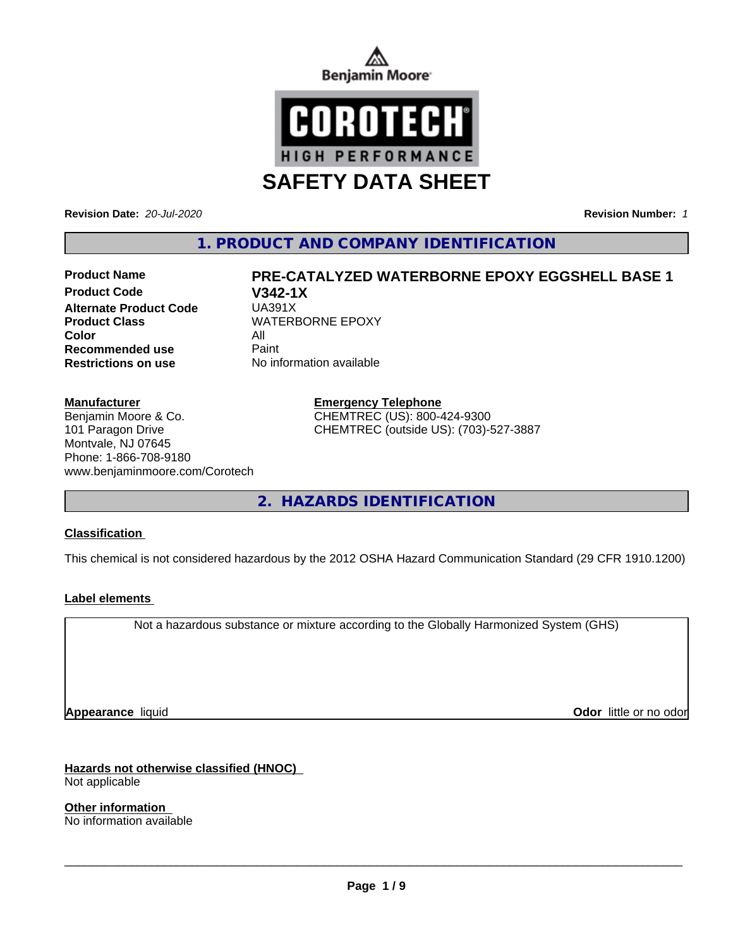



**Revision Date:** *20-Jul-2020* **Revision Number:** *1*

**1. PRODUCT AND COMPANY IDENTIFICATION**

**Product Code V342-1X Alternate Product Code Product Class WATERBORNE EPOXY Color** All **Recommended use All Print Recommended use Restrictions on use** No information available

### **Manufacturer**

Benjamin Moore & Co. 101 Paragon Drive Montvale, NJ 07645 Phone: 1-866-708-9180 www.benjaminmoore.com/Corotech

**Product Name PRE-CATALYZED WATERBORNE EPOXY EGGSHELL BASE 1**

**Emergency Telephone** CHEMTREC (US): 800-424-9300 CHEMTREC (outside US): (703)-527-3887

**2. HAZARDS IDENTIFICATION**

# **Classification**

This chemical is not considered hazardous by the 2012 OSHA Hazard Communication Standard (29 CFR 1910.1200)

# **Label elements**

Not a hazardous substance or mixture according to the Globally Harmonized System (GHS)

**Appearance** liquid **CODO** *Appearance liquid* **Odor** *CODO CODO* **<b>***CODO CODO CODO CODO CODO* 

# **Hazards not otherwise classified (HNOC)**

Not applicable

**Other information** No information available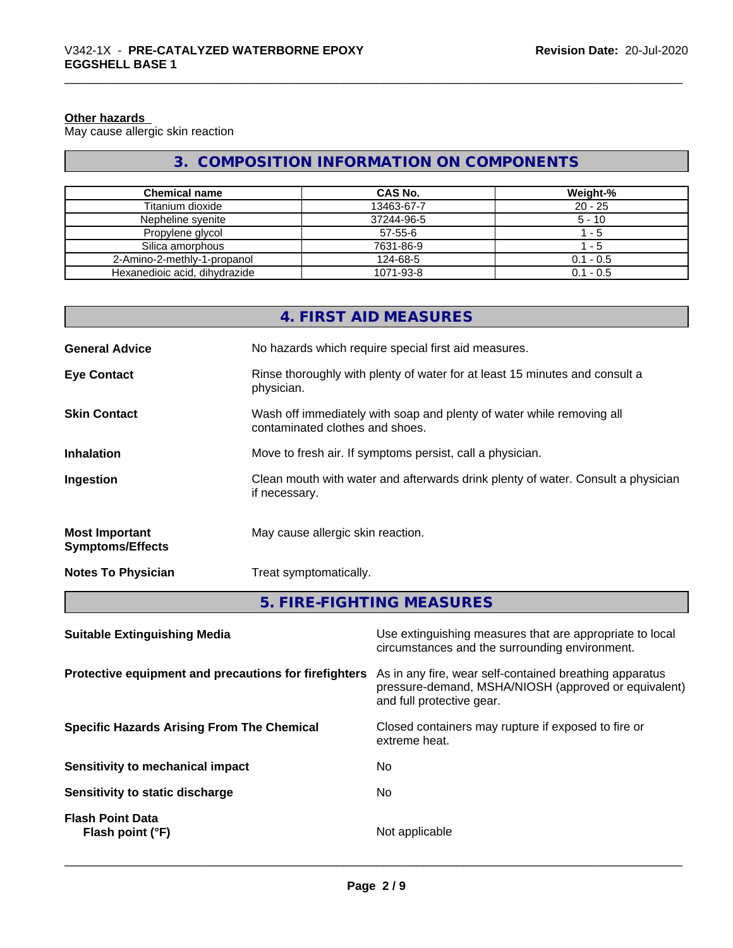#### **Other hazards**

May cause allergic skin reaction

# **3. COMPOSITION INFORMATION ON COMPONENTS**

| <b>Chemical name</b>          | <b>CAS No.</b> | Weight-%    |
|-------------------------------|----------------|-------------|
| Titanium dioxide              | 13463-67-7     | $20 - 25$   |
| Nepheline syenite             | 37244-96-5     | $5 - 10$    |
| Propylene glycol              | $57 - 55 - 6$  | - 5         |
| Silica amorphous              | 7631-86-9      | - 5         |
| 2-Amino-2-methly-1-propanol   | 124-68-5       | $0.1 - 0.5$ |
| Hexanedioic acid, dihydrazide | 1071-93-8      | $0.1 - 0.5$ |

|                                                  | 4. FIRST AID MEASURES                                                                                    |
|--------------------------------------------------|----------------------------------------------------------------------------------------------------------|
| <b>General Advice</b>                            | No hazards which require special first aid measures.                                                     |
| <b>Eye Contact</b>                               | Rinse thoroughly with plenty of water for at least 15 minutes and consult a<br>physician.                |
| <b>Skin Contact</b>                              | Wash off immediately with soap and plenty of water while removing all<br>contaminated clothes and shoes. |
| <b>Inhalation</b>                                | Move to fresh air. If symptoms persist, call a physician.                                                |
| Ingestion                                        | Clean mouth with water and afterwards drink plenty of water. Consult a physician<br>if necessary.        |
| <b>Most Important</b><br><b>Symptoms/Effects</b> | May cause allergic skin reaction.                                                                        |
| <b>Notes To Physician</b>                        | Treat symptomatically.                                                                                   |

# **5. FIRE-FIGHTING MEASURES**

| <b>Suitable Extinguishing Media</b>                   | Use extinguishing measures that are appropriate to local<br>circumstances and the surrounding environment.                                   |
|-------------------------------------------------------|----------------------------------------------------------------------------------------------------------------------------------------------|
| Protective equipment and precautions for firefighters | As in any fire, wear self-contained breathing apparatus<br>pressure-demand, MSHA/NIOSH (approved or equivalent)<br>and full protective gear. |
| <b>Specific Hazards Arising From The Chemical</b>     | Closed containers may rupture if exposed to fire or<br>extreme heat.                                                                         |
| Sensitivity to mechanical impact                      | No.                                                                                                                                          |
| Sensitivity to static discharge                       | No.                                                                                                                                          |
| <b>Flash Point Data</b><br>Flash point (°F)           | Not applicable                                                                                                                               |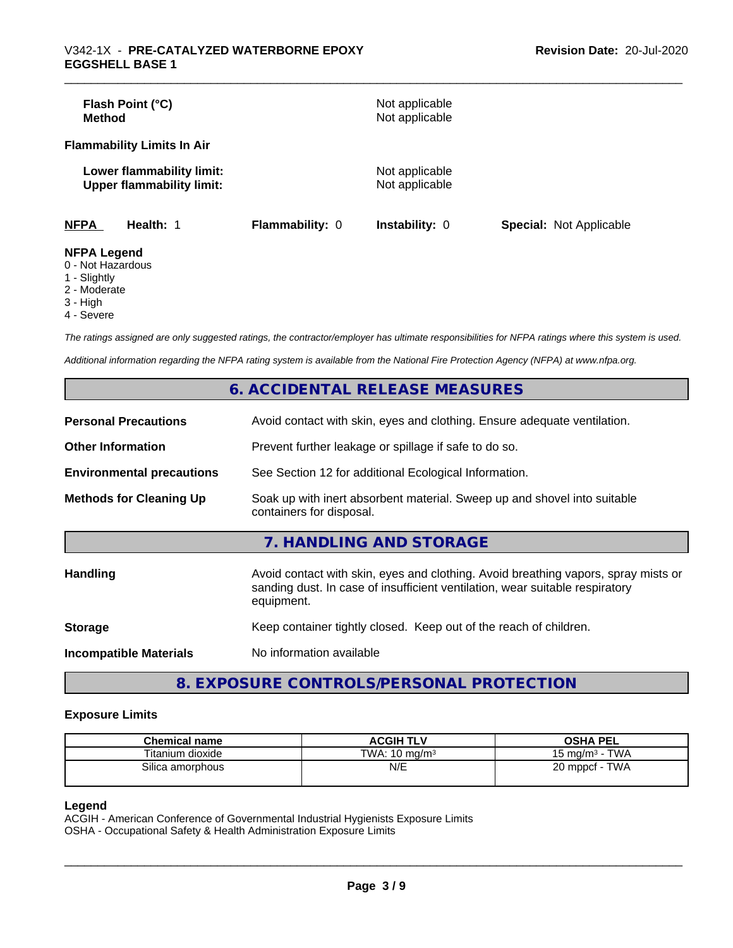| Flash Point (°C)<br>Method                                    |                        | Not applicable<br>Not applicable |                                |
|---------------------------------------------------------------|------------------------|----------------------------------|--------------------------------|
| <b>Flammability Limits In Air</b>                             |                        |                                  |                                |
| Lower flammability limit:<br><b>Upper flammability limit:</b> |                        | Not applicable<br>Not applicable |                                |
| <b>NFPA</b><br>Health: 1                                      | <b>Flammability: 0</b> | <b>Instability: 0</b>            | <b>Special: Not Applicable</b> |
| <b>NFPA Legend</b><br>0 Not Horordoug                         |                        |                                  |                                |

- 0 Not Hazardous
- 1 Slightly
- 2 Moderate
- 3 High
- 4 Severe

*The ratings assigned are only suggested ratings, the contractor/employer has ultimate responsibilities for NFPA ratings where this system is used.*

*Additional information regarding the NFPA rating system is available from the National Fire Protection Agency (NFPA) at www.nfpa.org.*

|                                  | 6. ACCIDENTAL RELEASE MEASURES                                                                                                                                                   |  |  |
|----------------------------------|----------------------------------------------------------------------------------------------------------------------------------------------------------------------------------|--|--|
| <b>Personal Precautions</b>      | Avoid contact with skin, eyes and clothing. Ensure adequate ventilation.                                                                                                         |  |  |
| <b>Other Information</b>         | Prevent further leakage or spillage if safe to do so.                                                                                                                            |  |  |
| <b>Environmental precautions</b> | See Section 12 for additional Ecological Information.                                                                                                                            |  |  |
| <b>Methods for Cleaning Up</b>   | Soak up with inert absorbent material. Sweep up and shovel into suitable<br>containers for disposal.                                                                             |  |  |
|                                  | 7. HANDLING AND STORAGE                                                                                                                                                          |  |  |
| <b>Handling</b>                  | Avoid contact with skin, eyes and clothing. Avoid breathing vapors, spray mists or<br>sanding dust. In case of insufficient ventilation, wear suitable respiratory<br>equipment. |  |  |
| <b>Storage</b>                   | Keep container tightly closed. Keep out of the reach of children.                                                                                                                |  |  |
| <b>Incompatible Materials</b>    | No information available                                                                                                                                                         |  |  |

**8. EXPOSURE CONTROLS/PERSONAL PROTECTION**

#### **Exposure Limits**

| <b>Chemical name</b> | <b>ACGIH TLV</b>         | <b>OSHA PEL</b>                   |
|----------------------|--------------------------|-----------------------------------|
| Titanium dioxide     | TWA: $10 \text{ ma/m}^3$ | · TWA<br>15 ma/m <sup>3</sup> - 1 |
| Silica amorphous     | N/E                      | 20 mppcf - TWA                    |

### **Legend**

ACGIH - American Conference of Governmental Industrial Hygienists Exposure Limits OSHA - Occupational Safety & Health Administration Exposure Limits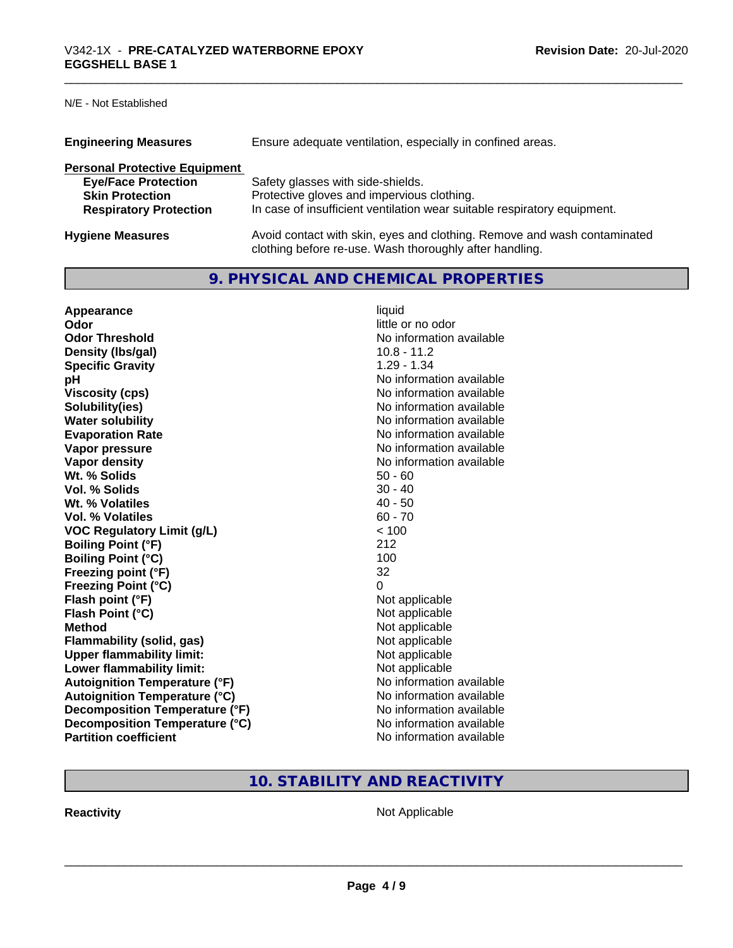N/E - Not Established

| <b>Engineering Measures</b>          | Ensure adequate ventilation, especially in confined areas.                                                                          |
|--------------------------------------|-------------------------------------------------------------------------------------------------------------------------------------|
| <b>Personal Protective Equipment</b> |                                                                                                                                     |
| <b>Eye/Face Protection</b>           | Safety glasses with side-shields.                                                                                                   |
| <b>Skin Protection</b>               | Protective gloves and impervious clothing.                                                                                          |
| <b>Respiratory Protection</b>        | In case of insufficient ventilation wear suitable respiratory equipment.                                                            |
| <b>Hygiene Measures</b>              | Avoid contact with skin, eyes and clothing. Remove and wash contaminated<br>clothing before re-use. Wash thoroughly after handling. |

# **9. PHYSICAL AND CHEMICAL PROPERTIES**

| Appearance                            | liquid                   |
|---------------------------------------|--------------------------|
| Odor                                  | little or no odor        |
| <b>Odor Threshold</b>                 | No information available |
| Density (Ibs/gal)                     | $10.8 - 11.2$            |
| <b>Specific Gravity</b>               | $1.29 - 1.34$            |
| рH                                    | No information available |
| <b>Viscosity (cps)</b>                | No information available |
| Solubility(ies)                       | No information available |
| <b>Water solubility</b>               | No information available |
| <b>Evaporation Rate</b>               | No information available |
| Vapor pressure                        | No information available |
| Vapor density                         | No information available |
| Wt. % Solids                          | $50 - 60$                |
| Vol. % Solids                         | $30 - 40$                |
| Wt. % Volatiles                       | $40 - 50$                |
| Vol. % Volatiles                      | $60 - 70$                |
| <b>VOC Regulatory Limit (g/L)</b>     | < 100                    |
| <b>Boiling Point (°F)</b>             | 212                      |
| <b>Boiling Point (°C)</b>             | 100                      |
| Freezing point (°F)                   | 32                       |
| <b>Freezing Point (°C)</b>            | 0                        |
| Flash point (°F)                      | Not applicable           |
| Flash Point (°C)                      | Not applicable           |
| <b>Method</b>                         | Not applicable           |
| <b>Flammability (solid, gas)</b>      | Not applicable           |
| <b>Upper flammability limit:</b>      | Not applicable           |
| Lower flammability limit:             | Not applicable           |
| <b>Autoignition Temperature (°F)</b>  | No information available |
| <b>Autoignition Temperature (°C)</b>  | No information available |
| <b>Decomposition Temperature (°F)</b> | No information available |
| Decomposition Temperature (°C)        | No information available |
| <b>Partition coefficient</b>          | No information available |

# **10. STABILITY AND REACTIVITY**

**Reactivity Not Applicable** Not Applicable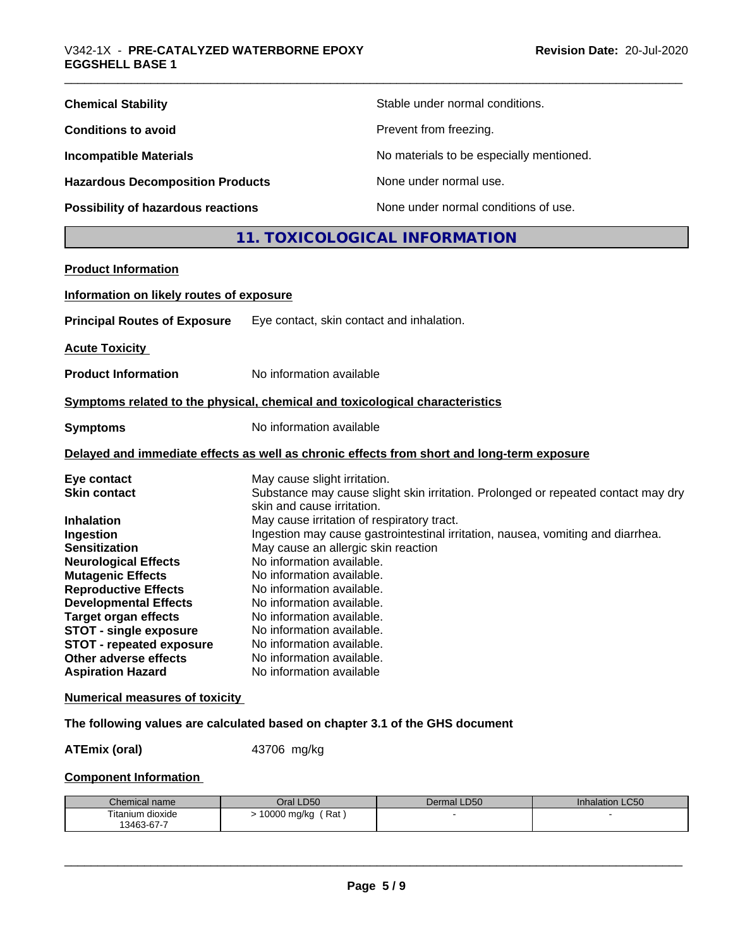| <b>Chemical Stability</b>               | Stable under normal conditions.          |
|-----------------------------------------|------------------------------------------|
| <b>Conditions to avoid</b>              | Prevent from freezing.                   |
| <b>Incompatible Materials</b>           | No materials to be especially mentioned. |
| <b>Hazardous Decomposition Products</b> | None under normal use.                   |
| Possibility of hazardous reactions      | None under normal conditions of use.     |

# **11. TOXICOLOGICAL INFORMATION**

| <b>Product Information</b>               |                                                                                                                 |
|------------------------------------------|-----------------------------------------------------------------------------------------------------------------|
| Information on likely routes of exposure |                                                                                                                 |
| <b>Principal Routes of Exposure</b>      | Eye contact, skin contact and inhalation.                                                                       |
| <b>Acute Toxicity</b>                    |                                                                                                                 |
| <b>Product Information</b>               | No information available                                                                                        |
|                                          | Symptoms related to the physical, chemical and toxicological characteristics                                    |
| <b>Symptoms</b>                          | No information available                                                                                        |
|                                          | Delayed and immediate effects as well as chronic effects from short and long-term exposure                      |
| Eye contact                              | May cause slight irritation.                                                                                    |
| <b>Skin contact</b>                      | Substance may cause slight skin irritation. Prolonged or repeated contact may dry<br>skin and cause irritation. |
| <b>Inhalation</b>                        | May cause irritation of respiratory tract.                                                                      |
| Ingestion                                | Ingestion may cause gastrointestinal irritation, nausea, vomiting and diarrhea.                                 |
| <b>Sensitization</b>                     | May cause an allergic skin reaction                                                                             |
| <b>Neurological Effects</b>              | No information available.                                                                                       |
| <b>Mutagenic Effects</b>                 | No information available.                                                                                       |
| <b>Reproductive Effects</b>              | No information available.                                                                                       |
| <b>Developmental Effects</b>             | No information available.                                                                                       |
| <b>Target organ effects</b>              | No information available.                                                                                       |
| <b>STOT - single exposure</b>            | No information available.                                                                                       |
| <b>STOT - repeated exposure</b>          | No information available.                                                                                       |
| Other adverse effects                    | No information available.                                                                                       |
| <b>Aspiration Hazard</b>                 | No information available                                                                                        |
| <b>Numerical measures of toxicity</b>    |                                                                                                                 |

## **The following values are calculated based on chapter 3.1 of the GHS document**

**ATEmix (oral)** 43706 mg/kg

# **Component Information**

| Chemical name    | Oral LD50          | Dermal LD50 | <b>Inhalation LC50</b> |
|------------------|--------------------|-------------|------------------------|
| Titanium dioxide | Rat<br>10000 mg/kg |             |                        |
| 13463-67-7       |                    |             |                        |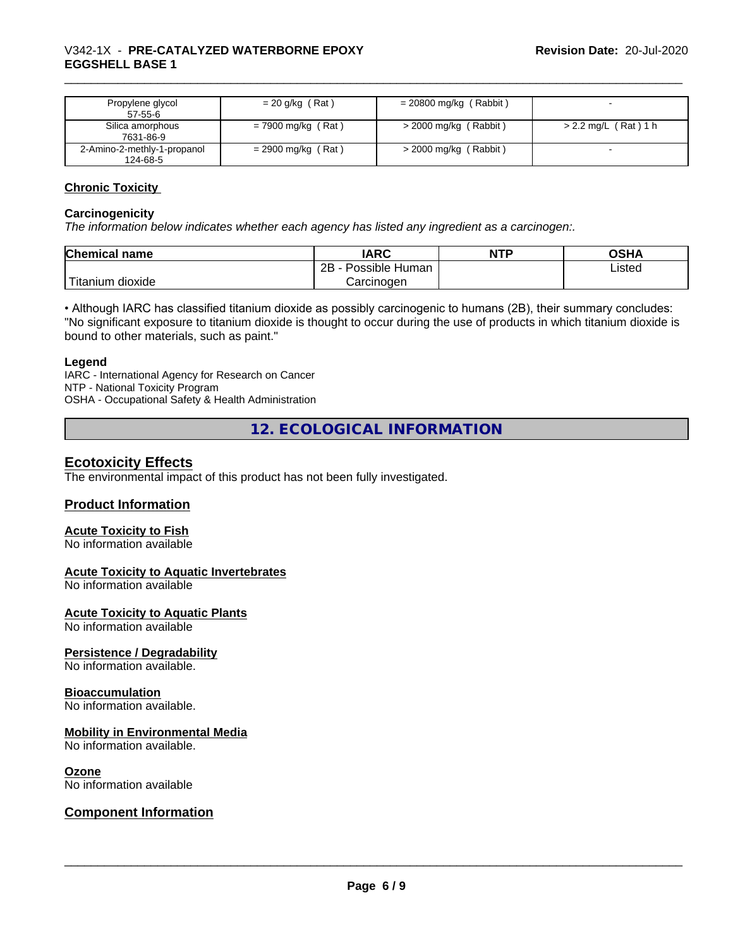| Propylene glycol<br>$57-55-6$           | $= 20$ g/kg (Rat)    | $= 20800$ mg/kg (Rabbit) |                        |
|-----------------------------------------|----------------------|--------------------------|------------------------|
| Silica amorphous<br>7631-86-9           | $= 7900$ mg/kg (Rat) | $>$ 2000 mg/kg (Rabbit)  | $> 2.2$ mg/L (Rat) 1 h |
| 2-Amino-2-methly-1-propanol<br>124-68-5 | $= 2900$ mg/kg (Rat) | $>$ 2000 mg/kg (Rabbit)  |                        |

### **Chronic Toxicity**

#### **Carcinogenicity**

*The information below indicateswhether each agency has listed any ingredient as a carcinogen:.*

| <b>Chemical name</b>           | <b>IARC</b>               | <b>NTP</b> | OSHA   |
|--------------------------------|---------------------------|------------|--------|
|                                | .<br>2B<br>Possible Human |            | Listed |
| $-1$<br>n dioxide<br>l itanıum | Carcinoɑen                |            |        |

• Although IARC has classified titanium dioxide as possibly carcinogenic to humans (2B), their summary concludes: "No significant exposure to titanium dioxide is thought to occur during the use of products in which titanium dioxide is bound to other materials, such as paint."

#### **Legend**

IARC - International Agency for Research on Cancer NTP - National Toxicity Program OSHA - Occupational Safety & Health Administration

**12. ECOLOGICAL INFORMATION**

# **Ecotoxicity Effects**

The environmental impact of this product has not been fully investigated.

# **Product Information**

#### **Acute Toxicity to Fish**

No information available

#### **Acute Toxicity to Aquatic Invertebrates**

No information available

#### **Acute Toxicity to Aquatic Plants**

No information available

#### **Persistence / Degradability**

No information available.

#### **Bioaccumulation**

No information available.

### **Mobility in Environmental Media**

No information available.

#### **Ozone**

No information available

# **Component Information**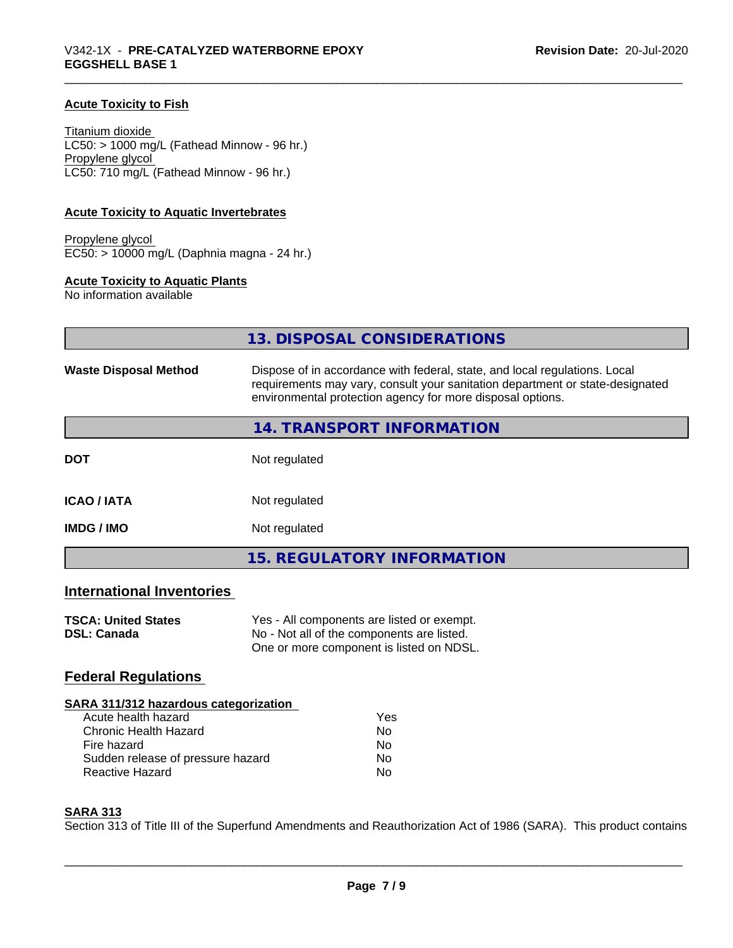### **Acute Toxicity to Fish**

Titanium dioxide  $LC50:$  > 1000 mg/L (Fathead Minnow - 96 hr.) Propylene glycol LC50: 710 mg/L (Fathead Minnow - 96 hr.)

#### **Acute Toxicity to Aquatic Invertebrates**

Propylene glycol EC50: > 10000 mg/L (Daphnia magna - 24 hr.)

# **Acute Toxicity to Aquatic Plants**

No information available

|                                  | 13. DISPOSAL CONSIDERATIONS                                                                                                                                                                                               |
|----------------------------------|---------------------------------------------------------------------------------------------------------------------------------------------------------------------------------------------------------------------------|
| <b>Waste Disposal Method</b>     | Dispose of in accordance with federal, state, and local regulations. Local<br>requirements may vary, consult your sanitation department or state-designated<br>environmental protection agency for more disposal options. |
|                                  | 14. TRANSPORT INFORMATION                                                                                                                                                                                                 |
| <b>DOT</b>                       | Not regulated                                                                                                                                                                                                             |
| <b>ICAO / IATA</b>               | Not regulated                                                                                                                                                                                                             |
| <b>IMDG/IMO</b>                  | Not regulated                                                                                                                                                                                                             |
|                                  | <b>15. REGULATORY INFORMATION</b>                                                                                                                                                                                         |
| <b>International Inventories</b> |                                                                                                                                                                                                                           |

| <b>TSCA: United States</b> | Yes - All components are listed or exempt. |
|----------------------------|--------------------------------------------|
| <b>DSL: Canada</b>         | No - Not all of the components are listed. |
|                            | One or more component is listed on NDSL.   |

# **Federal Regulations**

| SARA 311/312 hazardous categorization |     |  |
|---------------------------------------|-----|--|
| Acute health hazard                   | Yes |  |
| Chronic Health Hazard                 | No  |  |
| Fire hazard                           | No  |  |
| Sudden release of pressure hazard     | Nο  |  |
| <b>Reactive Hazard</b>                | Nο  |  |

#### **SARA 313**

Section 313 of Title III of the Superfund Amendments and Reauthorization Act of 1986 (SARA). This product contains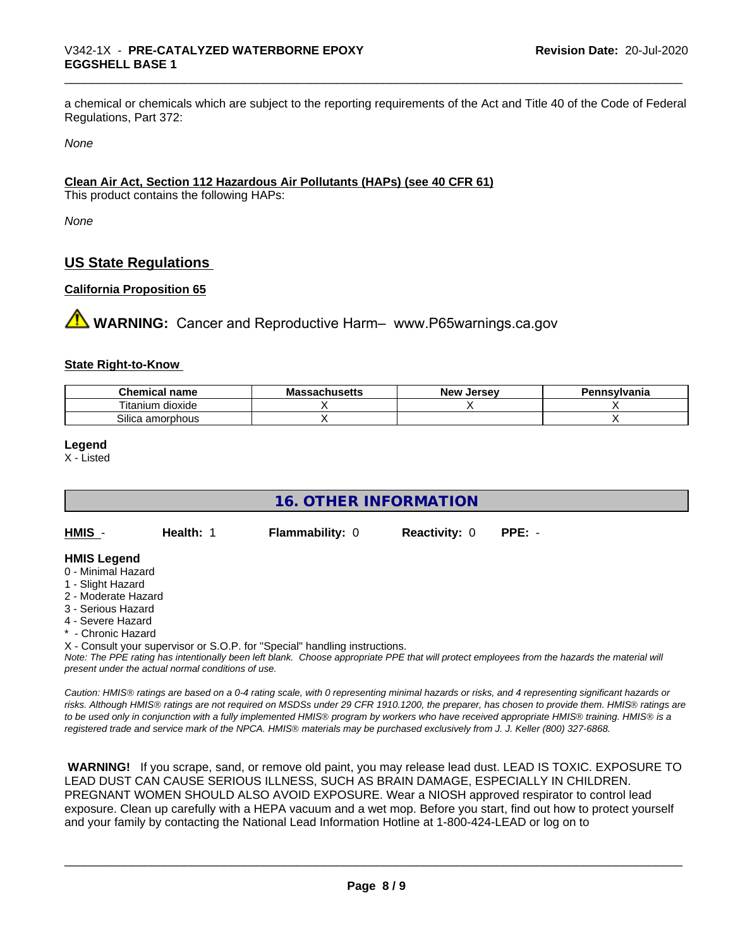a chemical or chemicals which are subject to the reporting requirements of the Act and Title 40 of the Code of Federal Regulations, Part 372:

*None*

# **Clean Air Act,Section 112 Hazardous Air Pollutants (HAPs) (see 40 CFR 61)**

This product contains the following HAPs:

*None*

# **US State Regulations**

# **California Proposition 65**

**A** WARNING: Cancer and Reproductive Harm– www.P65warnings.ca.gov

#### **State Right-to-Know**

| nm.<br>hemical<br>name                 | IVI.<br>sustus | ∴Jerse<br><b>Nev</b> | าnsvlvania |
|----------------------------------------|----------------|----------------------|------------|
| ÷.,<br>$\sim$<br>dioxide<br>l itanium. |                |                      |            |
| Silica<br>amorphous                    |                |                      |            |

#### **Legend**

X - Listed

| <b>16. OTHER INFORMATION</b>                                                                                                                                                                                                |  |  |  |  |  |
|-----------------------------------------------------------------------------------------------------------------------------------------------------------------------------------------------------------------------------|--|--|--|--|--|
| HMIS -<br><b>Health: 1</b><br>$PPE: -$<br><b>Flammability: 0</b><br><b>Reactivity: 0</b>                                                                                                                                    |  |  |  |  |  |
| <b>HMIS Legend</b><br>0 - Minimal Hazard<br>1 - Slight Hazard<br>2 - Moderate Hazard<br>3 - Serious Hazard<br>4 - Severe Hazard<br>* - Chronic Hazard                                                                       |  |  |  |  |  |
| X - Consult your supervisor or S.O.P. for "Special" handling instructions.<br>Note: The PPF rating has intentionally been left blank. Choose appropriate PPF that will protect employees from the hazards the material will |  |  |  |  |  |

*Note: The PPE rating has intentionally been left blank. Choose appropriate PPE that will protect employees from the hazards the material will present under the actual normal conditions of use.*

*Caution: HMISÒ ratings are based on a 0-4 rating scale, with 0 representing minimal hazards or risks, and 4 representing significant hazards or risks. Although HMISÒ ratings are not required on MSDSs under 29 CFR 1910.1200, the preparer, has chosen to provide them. HMISÒ ratings are to be used only in conjunction with a fully implemented HMISÒ program by workers who have received appropriate HMISÒ training. HMISÒ is a registered trade and service mark of the NPCA. HMISÒ materials may be purchased exclusively from J. J. Keller (800) 327-6868.*

 **WARNING!** If you scrape, sand, or remove old paint, you may release lead dust. LEAD IS TOXIC. EXPOSURE TO LEAD DUST CAN CAUSE SERIOUS ILLNESS, SUCH AS BRAIN DAMAGE, ESPECIALLY IN CHILDREN. PREGNANT WOMEN SHOULD ALSO AVOID EXPOSURE.Wear a NIOSH approved respirator to control lead exposure. Clean up carefully with a HEPA vacuum and a wet mop. Before you start, find out how to protect yourself and your family by contacting the National Lead Information Hotline at 1-800-424-LEAD or log on to